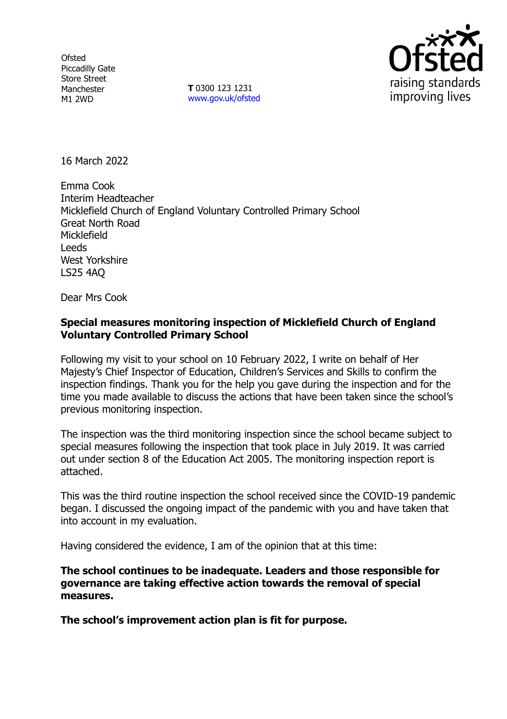**Ofsted** Piccadilly Gate Store Street Manchester M1 2WD

**T** 0300 123 1231 [www.gov.uk/ofsted](http://www.gov.uk/ofsted)



16 March 2022

Emma Cook Interim Headteacher Micklefield Church of England Voluntary Controlled Primary School Great North Road Micklefield Leeds West Yorkshire LS25 4AQ

Dear Mrs Cook

## **Special measures monitoring inspection of Micklefield Church of England Voluntary Controlled Primary School**

Following my visit to your school on 10 February 2022, I write on behalf of Her Majesty's Chief Inspector of Education, Children's Services and Skills to confirm the inspection findings. Thank you for the help you gave during the inspection and for the time you made available to discuss the actions that have been taken since the school's previous monitoring inspection.

The inspection was the third monitoring inspection since the school became subject to special measures following the inspection that took place in July 2019. It was carried out under section 8 of the Education Act 2005. The monitoring inspection report is attached.

This was the third routine inspection the school received since the COVID-19 pandemic began. I discussed the ongoing impact of the pandemic with you and have taken that into account in my evaluation.

Having considered the evidence, I am of the opinion that at this time:

**The school continues to be inadequate. Leaders and those responsible for governance are taking effective action towards the removal of special measures.**

**The school's improvement action plan is fit for purpose.**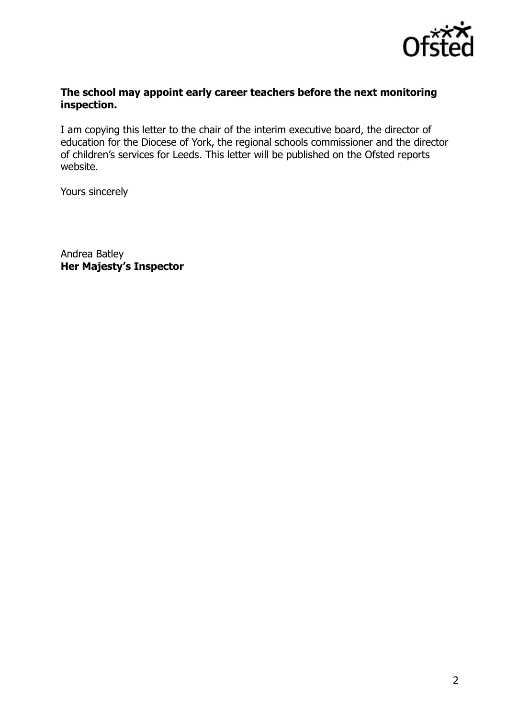

#### **The school may appoint early career teachers before the next monitoring inspection.**

I am copying this letter to the chair of the interim executive board, the director of education for the Diocese of York, the regional schools commissioner and the director of children's services for Leeds. This letter will be published on the Ofsted reports website.

Yours sincerely

Andrea Batley **Her Majesty's Inspector**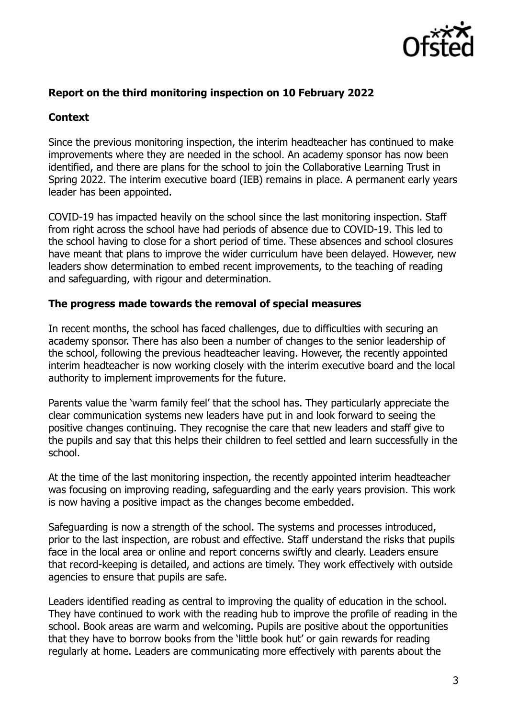

## **Report on the third monitoring inspection on 10 February 2022**

## **Context**

Since the previous monitoring inspection, the interim headteacher has continued to make improvements where they are needed in the school. An academy sponsor has now been identified, and there are plans for the school to join the Collaborative Learning Trust in Spring 2022. The interim executive board (IEB) remains in place. A permanent early years leader has been appointed.

COVID-19 has impacted heavily on the school since the last monitoring inspection. Staff from right across the school have had periods of absence due to COVID-19. This led to the school having to close for a short period of time. These absences and school closures have meant that plans to improve the wider curriculum have been delayed. However, new leaders show determination to embed recent improvements, to the teaching of reading and safeguarding, with rigour and determination.

#### **The progress made towards the removal of special measures**

In recent months, the school has faced challenges, due to difficulties with securing an academy sponsor. There has also been a number of changes to the senior leadership of the school, following the previous headteacher leaving. However, the recently appointed interim headteacher is now working closely with the interim executive board and the local authority to implement improvements for the future.

Parents value the 'warm family feel' that the school has. They particularly appreciate the clear communication systems new leaders have put in and look forward to seeing the positive changes continuing. They recognise the care that new leaders and staff give to the pupils and say that this helps their children to feel settled and learn successfully in the school.

At the time of the last monitoring inspection, the recently appointed interim headteacher was focusing on improving reading, safeguarding and the early years provision. This work is now having a positive impact as the changes become embedded.

Safeguarding is now a strength of the school. The systems and processes introduced, prior to the last inspection, are robust and effective. Staff understand the risks that pupils face in the local area or online and report concerns swiftly and clearly. Leaders ensure that record-keeping is detailed, and actions are timely. They work effectively with outside agencies to ensure that pupils are safe.

Leaders identified reading as central to improving the quality of education in the school. They have continued to work with the reading hub to improve the profile of reading in the school. Book areas are warm and welcoming. Pupils are positive about the opportunities that they have to borrow books from the 'little book hut' or gain rewards for reading regularly at home. Leaders are communicating more effectively with parents about the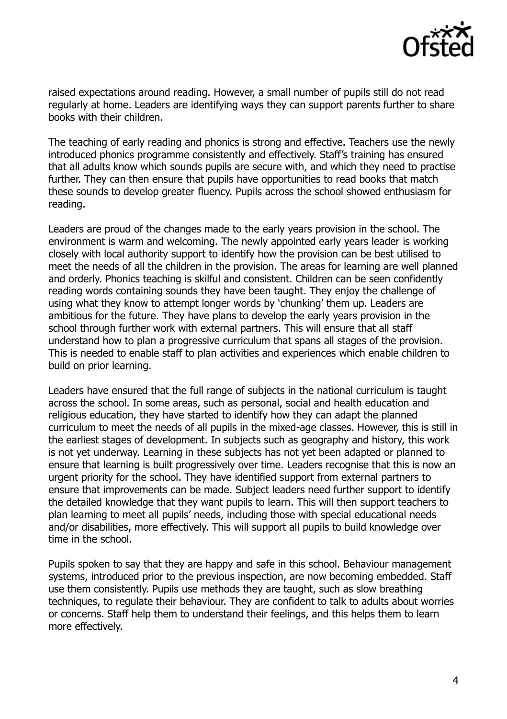

raised expectations around reading. However, a small number of pupils still do not read regularly at home. Leaders are identifying ways they can support parents further to share books with their children.

The teaching of early reading and phonics is strong and effective. Teachers use the newly introduced phonics programme consistently and effectively. Staff's training has ensured that all adults know which sounds pupils are secure with, and which they need to practise further. They can then ensure that pupils have opportunities to read books that match these sounds to develop greater fluency. Pupils across the school showed enthusiasm for reading.

Leaders are proud of the changes made to the early years provision in the school. The environment is warm and welcoming. The newly appointed early years leader is working closely with local authority support to identify how the provision can be best utilised to meet the needs of all the children in the provision. The areas for learning are well planned and orderly. Phonics teaching is skilful and consistent. Children can be seen confidently reading words containing sounds they have been taught. They enjoy the challenge of using what they know to attempt longer words by 'chunking' them up. Leaders are ambitious for the future. They have plans to develop the early years provision in the school through further work with external partners. This will ensure that all staff understand how to plan a progressive curriculum that spans all stages of the provision. This is needed to enable staff to plan activities and experiences which enable children to build on prior learning.

Leaders have ensured that the full range of subjects in the national curriculum is taught across the school. In some areas, such as personal, social and health education and religious education, they have started to identify how they can adapt the planned curriculum to meet the needs of all pupils in the mixed-age classes. However, this is still in the earliest stages of development. In subjects such as geography and history, this work is not yet underway. Learning in these subjects has not yet been adapted or planned to ensure that learning is built progressively over time. Leaders recognise that this is now an urgent priority for the school. They have identified support from external partners to ensure that improvements can be made. Subject leaders need further support to identify the detailed knowledge that they want pupils to learn. This will then support teachers to plan learning to meet all pupils' needs, including those with special educational needs and/or disabilities, more effectively. This will support all pupils to build knowledge over time in the school.

Pupils spoken to say that they are happy and safe in this school. Behaviour management systems, introduced prior to the previous inspection, are now becoming embedded. Staff use them consistently. Pupils use methods they are taught, such as slow breathing techniques, to regulate their behaviour. They are confident to talk to adults about worries or concerns. Staff help them to understand their feelings, and this helps them to learn more effectively.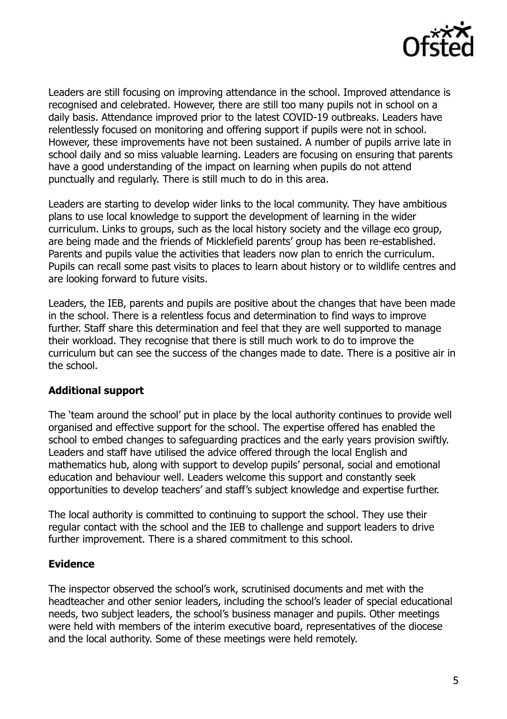

Leaders are still focusing on improving attendance in the school. Improved attendance is recognised and celebrated. However, there are still too many pupils not in school on a daily basis. Attendance improved prior to the latest COVID-19 outbreaks. Leaders have relentlessly focused on monitoring and offering support if pupils were not in school. However, these improvements have not been sustained. A number of pupils arrive late in school daily and so miss valuable learning. Leaders are focusing on ensuring that parents have a good understanding of the impact on learning when pupils do not attend punctually and regularly. There is still much to do in this area.

Leaders are starting to develop wider links to the local community. They have ambitious plans to use local knowledge to support the development of learning in the wider curriculum. Links to groups, such as the local history society and the village eco group, are being made and the friends of Micklefield parents' group has been re-established. Parents and pupils value the activities that leaders now plan to enrich the curriculum. Pupils can recall some past visits to places to learn about history or to wildlife centres and are looking forward to future visits.

Leaders, the IEB, parents and pupils are positive about the changes that have been made in the school. There is a relentless focus and determination to find ways to improve further. Staff share this determination and feel that they are well supported to manage their workload. They recognise that there is still much work to do to improve the curriculum but can see the success of the changes made to date. There is a positive air in the school.

# **Additional support**

The 'team around the school' put in place by the local authority continues to provide well organised and effective support for the school. The expertise offered has enabled the school to embed changes to safeguarding practices and the early years provision swiftly. Leaders and staff have utilised the advice offered through the local English and mathematics hub, along with support to develop pupils' personal, social and emotional education and behaviour well. Leaders welcome this support and constantly seek opportunities to develop teachers' and staff's subject knowledge and expertise further.

The local authority is committed to continuing to support the school. They use their regular contact with the school and the IEB to challenge and support leaders to drive further improvement. There is a shared commitment to this school.

#### **Evidence**

The inspector observed the school's work, scrutinised documents and met with the headteacher and other senior leaders, including the school's leader of special educational needs, two subject leaders, the school's business manager and pupils. Other meetings were held with members of the interim executive board, representatives of the diocese and the local authority. Some of these meetings were held remotely.